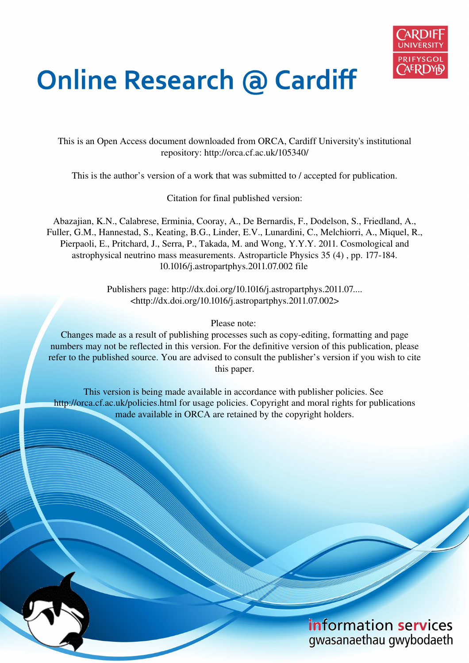

# **Online Research @ Cardiff**

This is an Open Access document downloaded from ORCA, Cardiff University's institutional repository: http://orca.cf.ac.uk/105340/

This is the author's version of a work that was submitted to / accepted for publication.

Citation for final published version:

Abazajian, K.N., Calabrese, Erminia, Cooray, A., De Bernardis, F., Dodelson, S., Friedland, A., Fuller, G.M., Hannestad, S., Keating, B.G., Linder, E.V., Lunardini, C., Melchiorri, A., Miquel, R., Pierpaoli, E., Pritchard, J., Serra, P., Takada, M. and Wong, Y.Y.Y. 2011. Cosmological and astrophysical neutrino mass measurements. Astroparticle Physics 35 (4) , pp. 177-184. 10.1016/j.astropartphys.2011.07.002 file

> Publishers page: http://dx.doi.org/10.1016/j.astropartphys.2011.07....  $\langle$ http://dx.doi.org/10.1016/j.astropartphys.2011.07.002>

> > Please note:

Changes made as a result of publishing processes such as copy-editing, formatting and page numbers may not be reflected in this version. For the definitive version of this publication, please refer to the published source. You are advised to consult the publisher's version if you wish to cite this paper.

This version is being made available in accordance with publisher policies. See http://orca.cf.ac.uk/policies.html for usage policies. Copyright and moral rights for publications made available in ORCA are retained by the copyright holders.

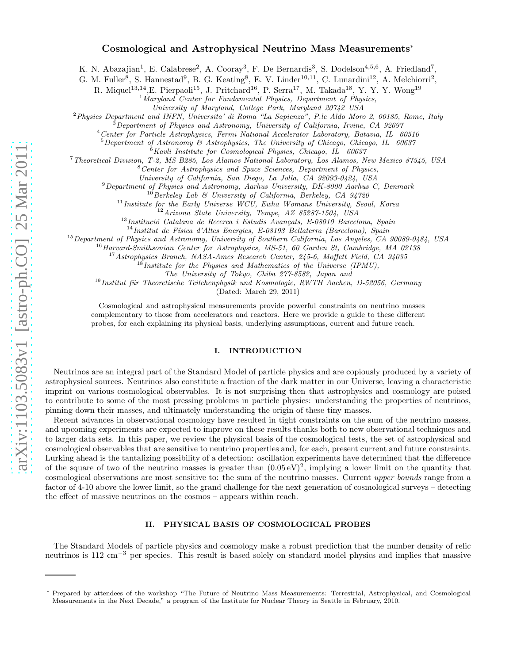# Cosmological and Astrophysical Neutrino Mass Measurements ∗

K. N. Abazajian<sup>1</sup>, E. Calabrese<sup>2</sup>, A. Cooray<sup>3</sup>, F. De Bernardis<sup>3</sup>, S. Dodelson<sup>4,5,6</sup>, A. Friedland<sup>7</sup>,

G. M. Fuller<sup>8</sup>, S. Hannestad<sup>9</sup>, B. G. Keating<sup>8</sup>, E. V. Linder<sup>10,11</sup>, C. Lunardini<sup>12</sup>, A. Melchiorri<sup>2</sup>,

R. Miquel<sup>13,14</sup>, E. Pierpaoli<sup>15</sup>, J. Pritchard<sup>16</sup>, P. Serra<sup>17</sup>, M. Takada<sup>18</sup>, Y. Y. Y. Wong<sup>19</sup>

 $1$ Maryland Center for Fundamental Physics, Department of Physics,

University of Maryland, College Park, Maryland 20742 USA

<sup>2</sup>Physics Department and INFN, Universita' di Roma "La Sapienza", P.le Aldo Moro 2, 00185, Rome, Italy

<sup>3</sup>Department of Physics and Astronomy, University of California, Irvine, CA 92697

<sup>4</sup>Center for Particle Astrophysics, Fermi National Accelerator Laboratory, Batavia, IL 60510

 $5$ Department of Astronomy & Astrophysics, The University of Chicago, Chicago, IL 60637

 $6$ Kavli Institute for Cosmological Physics, Chicago, IL 60637

<sup>7</sup>Theoretical Division, T-2, MS B285, Los Alamos National Laboratory, Los Alamos, New Mexico 87545, USA

<sup>8</sup>Center for Astrophysics and Space Sciences, Department of Physics,

University of California, San Diego, La Jolla, CA 92093-0424, USA

 $9$ Department of Physics and Astronomy, Aarhus University, DK-8000 Aarhus C, Denmark

 $10$  Berkeley Lab & University of California, Berkeley, CA 94720

 $11$ Institute for the Early Universe WCU, Ewha Womans University, Seoul, Korea

<sup>12</sup>Arizona State University, Tempe, AZ 85287-1504, USA

 $^{13}$ Institució Catalana de Recerca i Estudis Avançats, E-08010 Barcelona, Spain

 $14$ Institut de Física d'Altes Energies, E-08193 Bellaterra (Barcelona), Spain

<sup>15</sup> Department of Physics and Astronomy, University of Southern California, Los Angeles, CA 90089-0484, USA

<sup>16</sup> Harvard-Smithsonian Center for Astrophysics, MS-51, 60 Garden St, Cambridge, MA 02138

<sup>17</sup> Astrophysics Branch, NASA-Ames Research Center, 245-6, Moffett Field, CA 94035

<sup>18</sup>Institute for the Physics and Mathematics of the Universe (IPMU),

The University of Tokyo, Chiba 277-8582, Japan and

 $19$ Institut für Theoretische Teilchenphysik und Kosmologie, RWTH Aachen, D-52056, Germany

(Dated: March 29, 2011)

Cosmological and astrophysical measurements provide powerful constraints on neutrino masses complementary to those from accelerators and reactors. Here we provide a guide to these different probes, for each explaining its physical basis, underlying assumptions, current and future reach.

# I. INTRODUCTION

Neutrinos are an integral part of the Standard Model of particle physics and are copiously produced by a variety of astrophysical sources. Neutrinos also constitute a fraction of the dark matter in our Universe, leaving a characteristic imprint on various cosmological observables. It is not surprising then that astrophysics and cosmology are poised to contribute to some of the most pressing problems in particle physics: understanding the properties of neutrinos, pinning down their masses, and ultimately understanding the origin of these tiny masses.

Recent advances in observational cosmology have resulted in tight constraints on the sum of the neutrino masses, and upcoming experiments are expected to improve on these results thanks both to new observational techniques and to larger data sets. In this paper, we review the physical basis of the cosmological tests, the set of astrophysical and cosmological observables that are sensitive to neutrino properties and, for each, present current and future constraints. Lurking ahead is the tantalizing possibility of a detection: oscillation experiments have determined that the difference of the square of two of the neutrino masses is greater than  $(0.05 \text{ eV})^2$ , implying a lower limit on the quantity that cosmological observations are most sensitive to: the sum of the neutrino masses. Current upper bounds range from a factor of 4-10 above the lower limit, so the grand challenge for the next generation of cosmological surveys – detecting the effect of massive neutrinos on the cosmos – appears within reach.

# II. PHYSICAL BASIS OF COSMOLOGICAL PROBES

The Standard Models of particle physics and cosmology make a robust prediction that the number density of relic neutrinos is 112 cm<sup>−</sup><sup>3</sup> per species. This result is based solely on standard model physics and implies that massive

<sup>∗</sup> Prepared by attendees of the workshop "The Future of Neutrino Mass Measurements: Terrestrial, Astrophysical, and Cosmological Measurements in the Next Decade," a program of the Institute for Nuclear Theory in Seattle in February, 2010.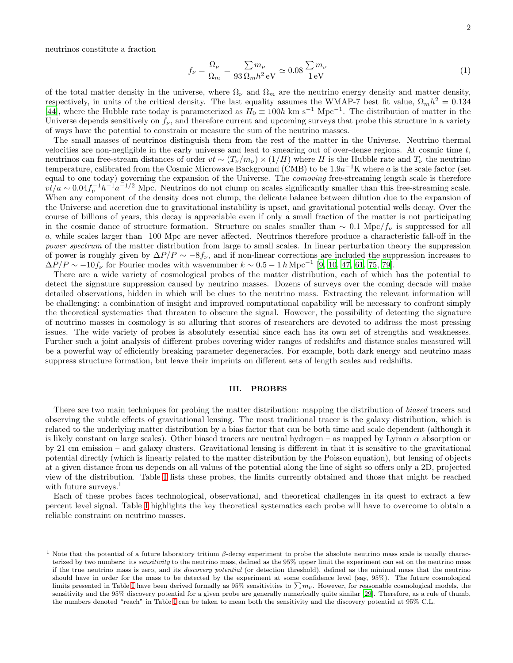neutrinos constitute a fraction

$$
f_{\nu} = \frac{\Omega_{\nu}}{\Omega_m} = \frac{\sum m_{\nu}}{93 \Omega_m h^2 \,\text{eV}} \simeq 0.08 \,\frac{\sum m_{\nu}}{1 \,\text{eV}}\tag{1}
$$

of the total matter density in the universe, where  $\Omega_{\nu}$  and  $\Omega_{m}$  are the neutrino energy density and matter density, respectively, in units of the critical density. The last equality assumes the WMAP-7 best fit value,  $\Omega_m h^2 = 0.134$ [\[44\]](#page-11-0), where the Hubble rate today is parameterized as  $H_0 \equiv 100h$  km s<sup>-1</sup> Mpc<sup>-1</sup>. The distribution of matter in the Universe depends sensitively on  $f_{\nu}$ , and therefore current and upcoming surveys that probe this structure in a variety of ways have the potential to constrain or measure the sum of the neutrino masses.

The small masses of neutrinos distinguish them from the rest of the matter in the Universe. Neutrino thermal velocities are non-negligible in the early universe and lead to smearing out of over-dense regions. At cosmic time  $t$ , neutrinos can free-stream distances of order  $vt \sim (T_{\nu}/m_{\nu}) \times (1/H)$  where H is the Hubble rate and  $T_{\nu}$  the neutrino temperature, calibrated from the Cosmic Microwave Background (CMB) to be  $1.9a^{-1}$ K where a is the scale factor (set equal to one today) governing the expansion of the Universe. The comoving free-streaming length scale is therefore  $vt/a \sim 0.04 f_{\nu}^{-1} h^{-1} a^{-1/2}$  Mpc. Neutrinos do not clump on scales significantly smaller than this free-streaming scale. When any component of the density does not clump, the delicate balance between dilution due to the expansion of the Universe and accretion due to gravitational instability is upset, and gravitational potential wells decay. Over the course of billions of years, this decay is appreciable even if only a small fraction of the matter is not participating in the cosmic dance of structure formation. Structure on scales smaller than  $\sim 0.1 \text{ Mpc}/f_\nu$  is suppressed for all a, while scales larger than 100 Mpc are never affected. Neutrinos therefore produce a characteristic fall-off in the power spectrum of the matter distribution from large to small scales. In linear perturbation theory the suppression of power is roughly given by  $\Delta P/P \sim -8f_{\nu}$ , and if non-linear corrections are included the suppression increases to  $\Delta P/P \sim -10 f_{\nu}$  for Fourier modes with wavenumber  $k \sim 0.5 - 1 h \,\text{Mpc}^{-1}$  [\[9,](#page-10-0) [10,](#page-10-1) [47,](#page-11-1) [61](#page-11-2), [75,](#page-11-3) [79](#page-11-4)].

There are a wide variety of cosmological probes of the matter distribution, each of which has the potential to detect the signature suppression caused by neutrino masses. Dozens of surveys over the coming decade will make detailed observations, hidden in which will be clues to the neutrino mass. Extracting the relevant information will be challenging: a combination of insight and improved computational capability will be necessary to confront simply the theoretical systematics that threaten to obscure the signal. However, the possibility of detecting the signature of neutrino masses in cosmology is so alluring that scores of researchers are devoted to address the most pressing issues. The wide variety of probes is absolutely essential since each has its own set of strengths and weaknesses. Further such a joint analysis of different probes covering wider ranges of redshifts and distance scales measured will be a powerful way of efficiently breaking parameter degeneracies. For example, both dark energy and neutrino mass suppress structure formation, but leave their imprints on different sets of length scales and redshifts.

#### III. PROBES

There are two main techniques for probing the matter distribution: mapping the distribution of biased tracers and observing the subtle effects of gravitational lensing. The most traditional tracer is the galaxy distribution, which is related to the underlying matter distribution by a bias factor that can be both time and scale dependent (although it is likely constant on large scales). Other biased tracers are neutral hydrogen – as mapped by Lyman  $\alpha$  absorption or by 21 cm emission – and galaxy clusters. Gravitational lensing is different in that it is sensitive to the gravitational potential directly (which is linearly related to the matter distribution by the Poisson equation), but lensing of objects at a given distance from us depends on all values of the potential along the line of sight so offers only a 2D, projected view of the distribution. Table [I](#page-3-0) lists these probes, the limits currently obtained and those that might be reached with future surveys. $<sup>1</sup>$ </sup>

Each of these probes faces technological, observational, and theoretical challenges in its quest to extract a few percent level signal. Table [I](#page-3-0) highlights the key theoretical systematics each probe will have to overcome to obtain a reliable constraint on neutrino masses.

<sup>&</sup>lt;sup>1</sup> Note that the potential of a future laboratory tritium  $\beta$ -decay experiment to probe the absolute neutrino mass scale is usually characterized by two numbers: its sensitivity to the neutrino mass, defined as the 95% upper limit the experiment can set on the neutrino mass if the true neutrino mass is zero, and its *discovery potential* (or detection threshold), defined as the minimal mass that the neutrino should have in order for the mass to be detected by the experiment at some confidence level (say, 95%). The future cosmological limits presented in Table [I](#page-3-0) have been derived formally as 95% sensitivities to  $\sum m_{\nu}$ . However, for reasonable cosmological models, the sensitivity and the 95% discovery potential for a given probe are generally numerically quite similar [\[29\]](#page-10-2). Therefore, as a rule of thumb, the numbers denoted "reach" in Table [I](#page-3-0) can be taken to mean both the sensitivity and the discovery potential at 95% C.L.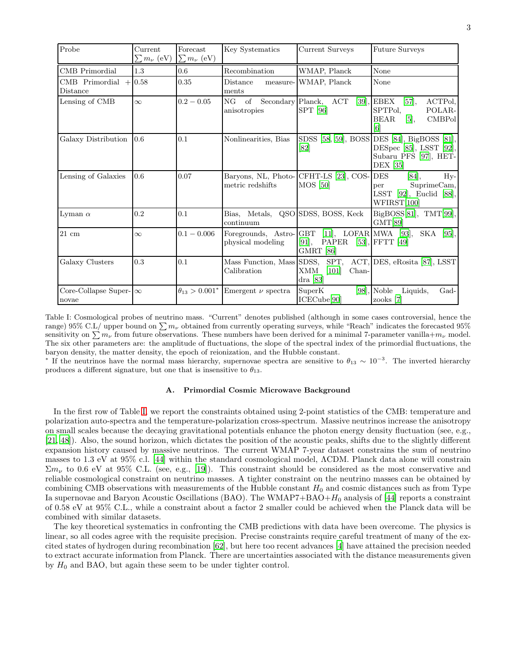| Probe                                  | Current<br>$\sum m_{\nu}$ (eV) | Forecast<br>$\sum m_{\nu}$ (eV) | Key Systematics                               | <b>Current Surveys</b>                                                        | <b>Future Surveys</b>                                                                                              |
|----------------------------------------|--------------------------------|---------------------------------|-----------------------------------------------|-------------------------------------------------------------------------------|--------------------------------------------------------------------------------------------------------------------|
| CMB Primordial                         | 1.3                            | 0.6                             | Recombination                                 | WMAP, Planck                                                                  | None                                                                                                               |
| CMB Primordial<br>Distance             | $+0.58$                        | 0.35                            | Distance<br>measure-<br>ments                 | WMAP, Planck                                                                  | None                                                                                                               |
| Lensing of CMB                         | $\infty$                       | $0.2 - 0.05$                    | NG<br>of<br>anisotropies                      | Secondary Planck, ACT<br>[39],<br>SPT [96]                                    | EBEX<br>ACTPol,<br>[57],<br>SPTPol.<br>POLAR-<br><b>CMBPol</b><br><b>BEAR</b><br>[5],<br>$\lceil 6 \rceil$         |
| Galaxy Distribution                    | 0.6                            | 0.1                             | Nonlinearities, Bias                          | [82]                                                                          | SDSS [58, 59], BOSS DES [84], BigBOSS [81],<br>DESpec [85], LSST [92],<br>Subaru PFS [97], HET-<br><b>DEX</b> [35] |
| Lensing of Galaxies                    | 0.6                            | 0.07                            | metric redshifts                              | Baryons, NL, Photo-CFHT-LS [23], COS-<br><b>MOS</b> [50]                      | <b>DES</b><br>[84],<br>Hy-<br>SuprimeCam,<br>per<br>LSST $[92]$ , Euclid $[88]$ ,<br>WFIRST[100]                   |
| Lyman $\alpha$                         | 0.2                            | 0.1                             | Metals.<br>Bias,<br>continuum                 | QSO SDSS, BOSS, Keck                                                          | BigBOSS[81], TMT[99],<br>GMT[89]                                                                                   |
| $21 \text{ cm}$                        | $\infty$                       | $0.1 - 0.006$                   | Foregrounds, Astro-GBT<br>physical modeling   | $[11]$ , LOFAR MWA $[93]$ ,<br>PAPER [53], FFTT [49]<br>$[91]$ ,<br>GMRT [86] | SKA<br>$[95]$ ,                                                                                                    |
| Galaxy Clusters                        | 0.3                            | 0.1                             | Mass Function, Mass SDSS, SPT,<br>Calibration | $\mathbf{XMM}$<br>$[101]$<br>Chan-<br>dra $[83]$                              | ACT, DES, eRosita [87], LSST                                                                                       |
| Core-Collapse Super- $\infty$<br>novae |                                | $\theta_{13} > 0.001^*$         | Emergent $\nu$ spectra                        | SuperK<br>ICECube[90]                                                         | $[98]$ , Noble<br>Liquids,<br>Gad-<br>zooks $[7]$                                                                  |

<span id="page-3-0"></span>Table I: Cosmological probes of neutrino mass. "Current" denotes published (although in some cases controversial, hence the range) 95% C.L/ upper bound on  $\sum m_{\nu}$  obtained from currently operating surveys, while "Reach" indicates the forecasted 95% sensitivity on  $\sum m_{\nu}$  from future observations. These numbers have been derived for a minimal 7-parameter vanilla+m<sub>v</sub> model. The six other parameters are: the amplitude of fluctuations, the slope of the spectral index of the primordial fluctuations, the baryon density, the matter density, the epoch of reionization, and the Hubble constant.

<sup>\*</sup> If the neutrinos have the normal mass hierarchy, supernovae spectra are sensitive to  $\theta_{13} \sim 10^{-3}$ . The inverted hierarchy produces a different signature, but one that is insensitive to  $\theta_{13}$ .

# A. Primordial Cosmic Microwave Background

In the first row of Table [I,](#page-3-0) we report the constraints obtained using 2-point statistics of the CMB: temperature and polarization auto-spectra and the temperature-polarization cross-spectrum. Massive neutrinos increase the anisotropy on small scales because the decaying gravitational potentials enhance the photon energy density fluctuation (see, e.g., [\[21,](#page-10-10) [48](#page-11-31)]). Also, the sound horizon, which dictates the position of the acoustic peaks, shifts due to the slightly different expansion history caused by massive neutrinos. The current WMAP 7-year dataset constrains the sum of neutrino masses to 1.3 eV at 95% c.l. [\[44](#page-11-0)] within the standard cosmological model, ΛCDM. Planck data alone will constrain  $\Sigma m_{\nu}$  to 0.6 eV at 95% C.L. (see, e.g., [\[19](#page-10-11)]). This constraint should be considered as the most conservative and reliable cosmological constraint on neutrino masses. A tighter constraint on the neutrino masses can be obtained by combining CMB observations with measurements of the Hubble constant  $H_0$  and cosmic distances such as from Type Ia supernovae and Baryon Acoustic Oscillations (BAO). The WMAP7+BAO+ $H_0$  analysis of [\[44](#page-11-0)] reports a constraint of 0.58 eV at 95% C.L., while a constraint about a factor 2 smaller could be achieved when the Planck data will be combined with similar datasets.

The key theoretical systematics in confronting the CMB predictions with data have been overcome. The physics is linear, so all codes agree with the requisite precision. Precise constraints require careful treatment of many of the excited states of hydrogen during recombination [\[62\]](#page-11-32), but here too recent advances [\[4](#page-10-12)] have attained the precision needed to extract accurate information from Planck. There are uncertainties associated with the distance measurements given by  $H_0$  and BAO, but again these seem to be under tighter control.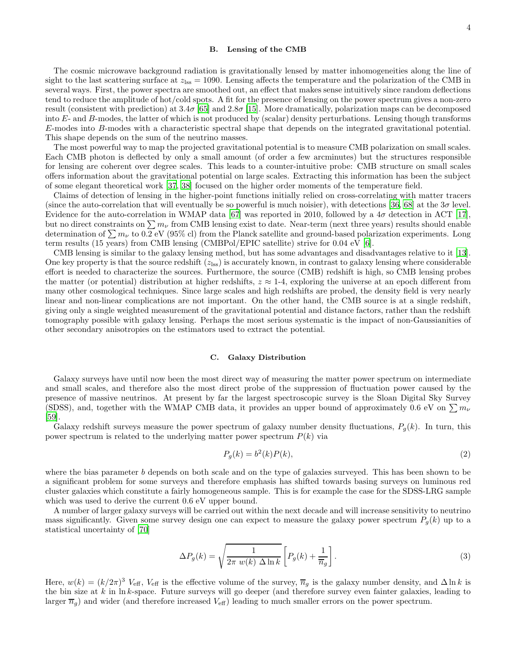#### B. Lensing of the CMB

The cosmic microwave background radiation is gravitationally lensed by matter inhomogeneities along the line of sight to the last scattering surface at  $z_{\text{iss}} = 1090$ . Lensing affects the temperature and the polarization of the CMB in several ways. First, the power spectra are smoothed out, an effect that makes sense intuitively since random deflections tend to reduce the amplitude of hot/cold spots. A fit for the presence of lensing on the power spectrum gives a non-zero result (consistent with prediction) at  $3.4\sigma$  [\[65\]](#page-11-33) and  $2.8\sigma$  [\[15\]](#page-10-13). More dramatically, polarization maps can be decomposed into  $E$ - and  $B$ -modes, the latter of which is not produced by (scalar) density perturbations. Lensing though transforms E-modes into B-modes with a characteristic spectral shape that depends on the integrated gravitational potential. This shape depends on the sum of the neutrino masses.

The most powerful way to map the projected gravitational potential is to measure CMB polarization on small scales. Each CMB photon is deflected by only a small amount (of order a few arcminutes) but the structures responsible for lensing are coherent over degree scales. This leads to a counter-intuitive probe: CMB structure on small scales offers information about the gravitational potential on large scales. Extracting this information has been the subject of some elegant theoretical work [\[37,](#page-10-14) [38\]](#page-10-15) focused on the higher order moments of the temperature field.

Claims of detection of lensing in the higher-point functions initially relied on cross-correlating with matter tracers (since the auto-correlation that will eventually be so powerful is much noisier), with detections [\[36,](#page-10-16) [68](#page-11-34)] at the  $3\sigma$  level. Evidence for the auto-correlation in WMAP data [\[67\]](#page-11-35) was reported in 2010, followed by a 4σ detection in ACT [\[17\]](#page-10-17), but no direct constraints on  $\sum m_{\nu}$  from CMB lensing exist to date. Near-term (next three years) results should enable determination of  $\sum m_{\nu}$  to 0.2 eV (95% cl) from the Planck satellite and ground-based polarization experiments. Long term results (15 years) from CMB lensing (CMBPol/EPIC satellite) strive for 0.04 eV [\[6](#page-10-5)].

CMB lensing is similar to the galaxy lensing method, but has some advantages and disadvantages relative to it [\[13\]](#page-10-18). One key property is that the source redshift  $(z_{\text{iss}})$  is accurately known, in contrast to galaxy lensing where considerable effort is needed to characterize the sources. Furthermore, the source (CMB) redshift is high, so CMB lensing probes the matter (or potential) distribution at higher redshifts,  $z \approx 1.4$ , exploring the universe at an epoch different from many other cosmological techniques. Since large scales and high redshifts are probed, the density field is very nearly linear and non-linear complications are not important. On the other hand, the CMB source is at a single redshift, giving only a single weighted measurement of the gravitational potential and distance factors, rather than the redshift tomography possible with galaxy lensing. Perhaps the most serious systematic is the impact of non-Gaussianities of other secondary anisotropies on the estimators used to extract the potential.

#### C. Galaxy Distribution

Galaxy surveys have until now been the most direct way of measuring the matter power spectrum on intermediate and small scales, and therefore also the most direct probe of the suppression of fluctuation power caused by the presence of massive neutrinos. At present by far the largest spectroscopic survey is the Sloan Digital Sky Survey (SDSS), and, together with the WMAP CMB data, it provides an upper bound of approximately 0.6 eV on  $\sum m_{\nu}$ [\[59\]](#page-11-8).

Galaxy redshift surveys measure the power spectrum of galaxy number density fluctuations,  $P_q(k)$ . In turn, this power spectrum is related to the underlying matter power spectrum  $P(k)$  via

$$
P_g(k) = b^2(k)P(k),\tag{2}
$$

where the bias parameter b depends on both scale and on the type of galaxies surveyed. This has been shown to be a significant problem for some surveys and therefore emphasis has shifted towards basing surveys on luminous red cluster galaxies which constitute a fairly homogeneous sample. This is for example the case for the SDSS-LRG sample which was used to derive the current  $0.6$  eV upper bound.

A number of larger galaxy surveys will be carried out within the next decade and will increase sensitivity to neutrino mass significantly. Given some survey design one can expect to measure the galaxy power spectrum  $P_g(k)$  up to a statistical uncertainty of [\[70\]](#page-11-36)

$$
\Delta P_g(k) = \sqrt{\frac{1}{2\pi w(k)\ \Delta \ln k}} \left[ P_g(k) + \frac{1}{\overline{n}_g} \right].
$$
\n(3)

Here,  $w(k) = (k/2\pi)^3 V_{\text{eff}}$ ,  $V_{\text{eff}}$  is the effective volume of the survey,  $\overline{n}_g$  is the galaxy number density, and  $\Delta \ln k$  is the bin size at  $k$  in ln  $k$ -space. Future surveys will go deeper (and therefore survey even fainter galaxies, leading to larger  $\overline{n}_g$ ) and wider (and therefore increased  $V_{\text{eff}}$ ) leading to much smaller errors on the power spectrum.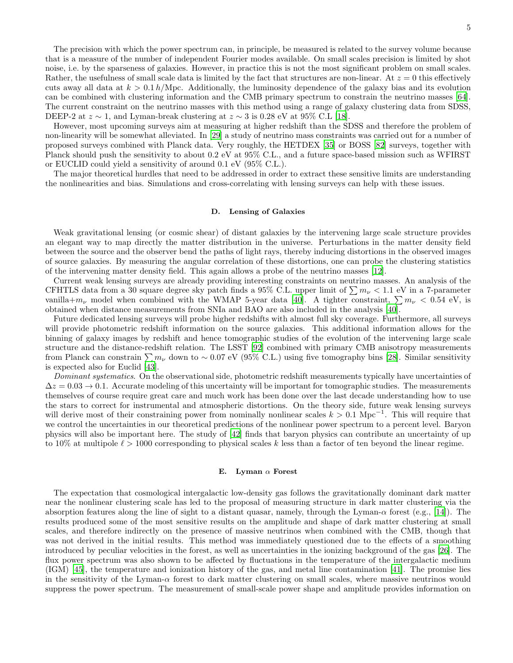The precision with which the power spectrum can, in principle, be measured is related to the survey volume because that is a measure of the number of independent Fourier modes available. On small scales precision is limited by shot noise, i.e. by the sparseness of galaxies. However, in practice this is not the most significant problem on small scales. Rather, the usefulness of small scale data is limited by the fact that structures are non-linear. At  $z = 0$  this effectively cuts away all data at  $k > 0.1 h/Mpc$ . Additionally, the luminosity dependence of the galaxy bias and its evolution can be combined with clustering information and the CMB primary spectrum to constrain the neutrino masses [\[64\]](#page-11-37). The current constraint on the neutrino masses with this method using a range of galaxy clustering data from SDSS, DEEP-2 at  $z \sim 1$ , and Lyman-break clustering at  $z \sim 3$  is 0.28 eV at 95% C.L [\[18\]](#page-10-19).

However, most upcoming surveys aim at measuring at higher redshift than the SDSS and therefore the problem of non-linearity will be somewhat alleviated. In [\[29\]](#page-10-2) a study of neutrino mass constraints was carried out for a number of proposed surveys combined with Planck data. Very roughly, the HETDEX [\[35](#page-10-6)] or BOSS [\[82\]](#page-11-9) surveys, together with Planck should push the sensitivity to about 0.2 eV at 95% C.L., and a future space-based mission such as WFIRST or EUCLID could yield a sensitivity of around 0.1 eV (95% C.L.).

The major theoretical hurdles that need to be addressed in order to extract these sensitive limits are understanding the nonlinearities and bias. Simulations and cross-correlating with lensing surveys can help with these issues.

#### D. Lensing of Galaxies

Weak gravitational lensing (or cosmic shear) of distant galaxies by the intervening large scale structure provides an elegant way to map directly the matter distribution in the universe. Perturbations in the matter density field between the source and the observer bend the paths of light rays, thereby inducing distortions in the observed images of source galaxies. By measuring the angular correlation of these distortions, one can probe the clustering statistics of the intervening matter density field. This again allows a probe of the neutrino masses [\[12\]](#page-10-20).

Current weak lensing surveys are already providing interesting constraints on neutrino masses. An analysis of the CFHTLS data from a 30 square degree sky patch finds a 95% C.L. upper limit of  $\sum m_{\nu} < 1.1$  eV in a 7-parameter vanilla+ $m_{\nu}$  model when combined with the WMAP 5-year data [\[40\]](#page-10-21). A tighter constraint,  $\sum m_{\nu} < 0.54$  eV, is obtained when distance measurements from SNIa and BAO are also included in the analysis [\[40](#page-10-21)].

Future dedicated lensing surveys will probe higher redshifts with almost full sky coverage. Furthermore, all surveys will provide photometric redshift information on the source galaxies. This additional information allows for the binning of galaxy images by redshift and hence tomographic studies of the evolution of the intervening large scale structure and the distance-redshift relation. The LSST [\[92](#page-11-13)] combined with primary CMB anisotropy measurements from Planck can constrain  $\sum m_{\nu}$  down to ~ 0.07 eV (95% C.L.) using five tomography bins [\[28](#page-10-22)]. Similar sensitivity is expected also for Euclid [\[43\]](#page-11-38).

Dominant systematics. On the observational side, photometric redshift measurements typically have uncertainties of  $\Delta z = 0.03 \rightarrow 0.1$ . Accurate modeling of this uncertainty will be important for tomographic studies. The measurements themselves of course require great care and much work has been done over the last decade understanding how to use the stars to correct for instrumental and atmospheric distortions. On the theory side, future weak lensing surveys will derive most of their constraining power from nominally nonlinear scales  $k > 0.1 \text{ Mpc}^{-1}$ . This will require that we control the uncertainties in our theoretical predictions of the nonlinear power spectrum to a percent level. Baryon physics will also be important here. The study of [\[42\]](#page-11-39) finds that baryon physics can contribute an uncertainty of up to 10% at multipole  $\ell > 1000$  corresponding to physical scales k less than a factor of ten beyond the linear regime.

#### E. Lyman  $\alpha$  Forest

The expectation that cosmological intergalactic low-density gas follows the gravitationally dominant dark matter near the nonlinear clustering scale has led to the proposal of measuring structure in dark matter clustering via the absorption features along the line of sight to a distant quasar, namely, through the Lyman- $\alpha$  forest (e.g., [\[14\]](#page-10-23)). The results produced some of the most sensitive results on the amplitude and shape of dark matter clustering at small scales, and therefore indirectly on the presence of massive neutrinos when combined with the CMB, though that was not derived in the initial results. This method was immediately questioned due to the effects of a smoothing introduced by peculiar velocities in the forest, as well as uncertainties in the ionizing background of the gas [\[26](#page-10-24)]. The flux power spectrum was also shown to be affected by fluctuations in the temperature of the intergalactic medium (IGM) [\[45\]](#page-11-40), the temperature and ionization history of the gas, and metal line contamination [\[41\]](#page-10-25). The promise lies in the sensitivity of the Lyman- $\alpha$  forest to dark matter clustering on small scales, where massive neutrinos would suppress the power spectrum. The measurement of small-scale power shape and amplitude provides information on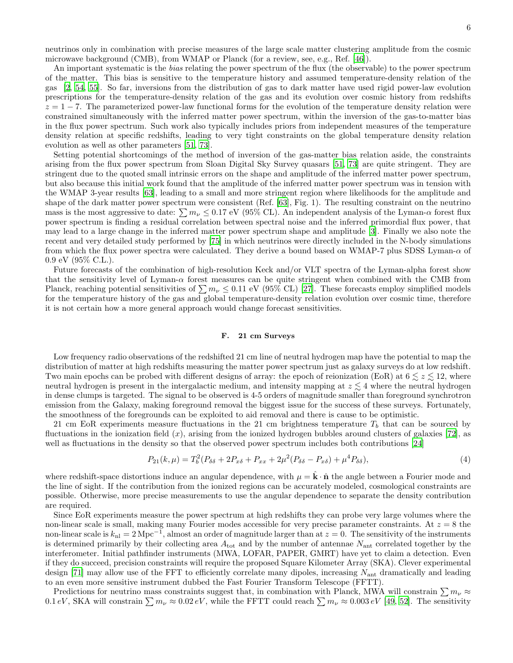neutrinos only in combination with precise measures of the large scale matter clustering amplitude from the cosmic microwave background (CMB), from WMAP or Planck (for a review, see, e.g., Ref. [\[46\]](#page-11-41)).

An important systematic is the *bias* relating the power spectrum of the flux (the observable) to the power spectrum of the matter. This bias is sensitive to the temperature history and assumed temperature-density relation of the gas [\[2,](#page-10-26) [54](#page-11-42), [55\]](#page-11-43). So far, inversions from the distribution of gas to dark matter have used rigid power-law evolution prescriptions for the temperature-density relation of the gas and its evolution over cosmic history from redshifts  $z = 1 - 7$ . The parameterized power-law functional forms for the evolution of the temperature density relation were constrained simultaneously with the inferred matter power spectrum, within the inversion of the gas-to-matter bias in the flux power spectrum. Such work also typically includes priors from independent measures of the temperature density relation at specific redshifts, leading to very tight constraints on the global temperature density relation evolution as well as other parameters [\[51](#page-11-44), [73](#page-11-45)].

Setting potential shortcomings of the method of inversion of the gas-matter bias relation aside, the constraints arising from the flux power spectrum from Sloan Digital Sky Survey quasars [\[51,](#page-11-44) [73\]](#page-11-45) are quite stringent. They are stringent due to the quoted small intrinsic errors on the shape and amplitude of the inferred matter power spectrum, but also because this initial work found that the amplitude of the inferred matter power spectrum was in tension with the WMAP 3-year results [\[63\]](#page-11-46), leading to a small and more stringent region where likelihoods for the amplitude and shape of the dark matter power spectrum were consistent (Ref. [\[63\]](#page-11-46), Fig. 1). The resulting constraint on the neutrino mass is the most aggressive to date:  $\sum m_{\nu} \leq 0.17$  eV (95% CL). An independent analysis of the Lyman- $\alpha$  forest flux power spectrum is finding a residual correlation between spectral noise and the inferred primordial flux power, that may lead to a large change in the inferred matter power spectrum shape and amplitude [\[3\]](#page-10-27). Finally we also note the recent and very detailed study performed by [\[75](#page-11-3)] in which neutrinos were directly included in the N-body simulations from which the flux power spectra were calculated. They derive a bound based on WMAP-7 plus SDSS Lyman- $\alpha$  of 0.9 eV (95% C.L.).

Future forecasts of the combination of high-resolution Keck and/or VLT spectra of the Lyman-alpha forest show that the sensitivity level of Lyman-α forest measures can be quite stringent when combined with the CMB from Planck, reaching potential sensitivities of  $\sum m_{\nu} \leq 0.11$  eV (95% CL) [\[27](#page-10-28)]. These forecasts employ simplified models for the temperature history of the gas and global temperature-density relation evolution over cosmic time, therefore it is not certain how a more general approach would change forecast sensitivities.

# F. 21 cm Surveys

Low frequency radio observations of the redshifted 21 cm line of neutral hydrogen map have the potential to map the distribution of matter at high redshifts measuring the matter power spectrum just as galaxy surveys do at low redshift. Two main epochs can be probed with different designs of array: the epoch of reionization (EoR) at  $6 \leq z \leq 12$ , where neutral hydrogen is present in the intergalactic medium, and intensity mapping at  $z \lesssim 4$  where the neutral hydrogen in dense clumps is targeted. The signal to be observed is 4-5 orders of magnitude smaller than foreground synchrotron emission from the Galaxy, making foreground removal the biggest issue for the success of these surveys. Fortunately, the smoothness of the foregrounds can be exploited to aid removal and there is cause to be optimistic.

21 cm EoR experiments measure fluctuations in the 21 cm brightness temperature  $T_b$  that can be sourced by fluctuations in the ionization field  $(x)$ , arising from the ionized hydrogen bubbles around clusters of galaxies [\[72](#page-11-47)], as well as fluctuations in the density so that the observed power spectrum includes both contributions [\[24\]](#page-10-29)

$$
P_{21}(k,\mu) = T_b^2 (P_{\delta\delta} + 2P_{x\delta} + P_{xx} + 2\mu^2 (P_{\delta\delta} - P_{x\delta}) + \mu^4 P_{\delta\delta}),
$$
\n(4)

where redshift-space distortions induce an angular dependence, with  $\mu = \mathbf{k} \cdot \hat{\mathbf{n}}$  the angle between a Fourier mode and the line of sight. If the contribution from the ionized regions can be accurately modeled, cosmological constraints are possible. Otherwise, more precise measurements to use the angular dependence to separate the density contribution are required.

Since EoR experiments measure the power spectrum at high redshifts they can probe very large volumes where the non-linear scale is small, making many Fourier modes accessible for very precise parameter constraints. At  $z = 8$  the non-linear scale is  $k_{nl} = 2 \text{ Mpc}^{-1}$ , almost an order of magnitude larger than at  $z = 0$ . The sensitivity of the instruments is determined primarily by their collecting area  $A_{\text{tot}}$  and by the number of antennae  $N_{\text{ant}}$  correlated together by the interferometer. Initial pathfinder instruments (MWA, LOFAR, PAPER, GMRT) have yet to claim a detection. Even if they do succeed, precision constraints will require the proposed Square Kilometer Array (SKA). Clever experimental design  $[71]$  may allow use of the FFT to efficiently correlate many dipoles, increasing  $N_{\text{ant}}$  dramatically and leading to an even more sensitive instrument dubbed the Fast Fourier Transform Telescope (FFTT).

Predictions for neutrino mass constraints suggest that, in combination with Planck, MWA will constrain  $\sum m_{\nu} \approx$ 0.1 eV, SKA will constrain  $\sum m_{\nu} \approx 0.02 eV$ , while the FFTT could reach  $\sum m_{\nu} \approx 0.003 eV$  [\[49](#page-11-25), [52](#page-11-49)]. The sensitivity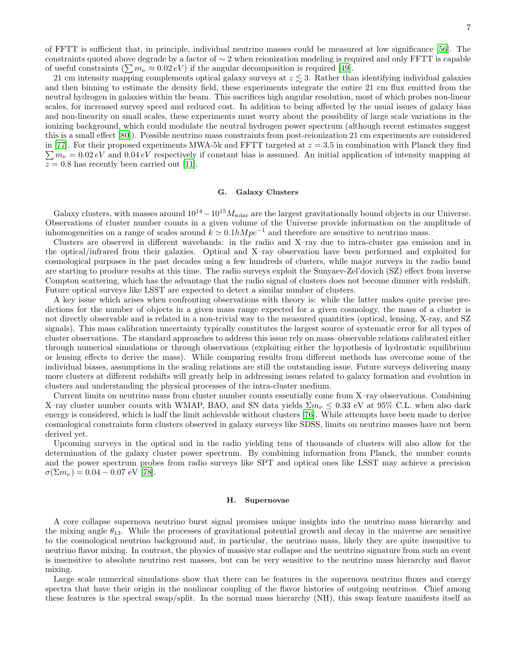of FFTT is sufficient that, in principle, individual neutrino masses could be measured at low significance [\[56\]](#page-11-50). The constraints quoted above degrade by a factor of  $\sim$  2 when reionization modeling is required and only FFTT is capable of useful constraints  $(\sum m_{\nu} \approx 0.02 \, eV)$  if the angular decomposition is required [\[49\]](#page-11-25).

21 cm intensity mapping complements optical galaxy surveys at  $z \lesssim 3$ . Rather than identifying individual galaxies and then binning to estimate the density field, these experiments integrate the entire 21 cm flux emitted from the neutral hydrogen in galaxies within the beam. This sacrifices high angular resolution, most of which probes non-linear scales, for increased survey speed and reduced cost. In addition to being affected by the usual issues of galaxy bias and non-linearity on small scales, these experiments must worry about the possibility of large scale variations in the ionizing background, which could modulate the neutral hydrogen power spectrum (although recent estimates suggest this is a small effect [\[80\]](#page-11-51)). Possible neutrino mass constraints from post-reionization 21 cm experiments are considered  $\sum m_{\nu} = 0.02 \, eV$  and  $0.04 \, eV$  respectively if constant bias is assumed. An initial application of intensity mapping at in [\[77\]](#page-11-52). For their proposed experiments MWA-5k and FFTT targeted at  $z = 3.5$  in combination with Planck they find  $z = 0.8$  has recently been carried out [\[11](#page-10-8)].

# G. Galaxy Clusters

Galaxy clusters, with masses around  $10^{14}-10^{15}M_{\text{solar}}$  are the largest gravitationally bound objects in our Universe. Observations of cluster number counts in a given volume of the Universe provide information on the amplitude of inhomogeneities on a range of scales around  $k \approx 0.1hMpc^{-1}$  and therefore are sensitive to neutrino mass.

Clusters are observed in different wavebands: in the radio and X–ray due to intra-cluster gas emission and in the optical/infrared from their galaxies. Optical and X–ray observation have been performed and exploited for cosmological purposes in the past decades using a few hundreds of clusters, while major surveys in the radio band are starting to produce results at this time. The radio surveys exploit the Sunyaev-Zel'dovich (SZ) effect from inverse Compton scattering, which has the advantage that the radio signal of clusters does not become dimmer with redshift. Future optical surveys like LSST are expected to detect a similar number of clusters.

A key issue which arises when confronting observations with theory is: while the latter makes quite precise predictions for the number of objects in a given mass range expected for a given cosmology, the mass of a cluster is not directly observable and is related in a non-trivial way to the measured quantities (optical, lensing, X-ray, and SZ signals). This mass calibration uncertainty typically constitutes the largest source of systematic error for all types of cluster observations. The standard approaches to address this issue rely on mass–observable relations calibrated either through numerical simulations or through observations (exploiting either the hypothesis of hydrostatic equilibrium or lensing effects to derive the mass). While comparing results from different methods has overcome some of the individual biases, assumptions in the scaling relations are still the outstanding issue. Future surveys delivering many more clusters at different redshifts will greatly help in addressing issues related to galaxy formation and evolution in clusters and understanding the physical processes of the intra-cluster medium.

Current limits on neutrino mass from cluster number counts essentially come from X–ray observations. Combining X–ray cluster number counts with WMAP, BAO, and SN data yields  $\Sigma m_{\nu} \leq 0.33$  eV at 95% C.L. when also dark energy is considered, which is half the limit achievable without clusters [\[76\]](#page-11-53). While attempts have been made to derive cosmological constraints form clusters observed in galaxy surveys like SDSS, limits on neutrino masses have not been derived yet.

Upcoming surveys in the optical and in the radio yielding tens of thousands of clusters will also allow for the determination of the galaxy cluster power spectrum. By combining information from Planck, the number counts and the power spectrum probes from radio surveys like SPT and optical ones like LSST may achieve a precision  $\sigma(\Sigma m_{\nu}) = 0.04 - 0.07$  eV [\[78\]](#page-11-54).

#### H. Supernovae

A core collapse supernova neutrino burst signal promises unique insights into the neutrino mass hierarchy and the mixing angle  $\theta_{13}$ . While the processes of gravitational potential growth and decay in the universe are sensitive to the cosmological neutrino background and, in particular, the neutrino mass, likely they are quite insensitive to neutrino flavor mixing. In contrast, the physics of massive star collapse and the neutrino signature from such an event is insensitive to absolute neutrino rest masses, but can be very sensitive to the neutrino mass hierarchy and flavor mixing.

Large scale numerical simulations show that there can be features in the supernova neutrino fluxes and energy spectra that have their origin in the nonlinear coupling of the flavor histories of outgoing neutrinos. Chief among these features is the spectral swap/split. In the normal mass hierarchy (NH), this swap feature manifests itself as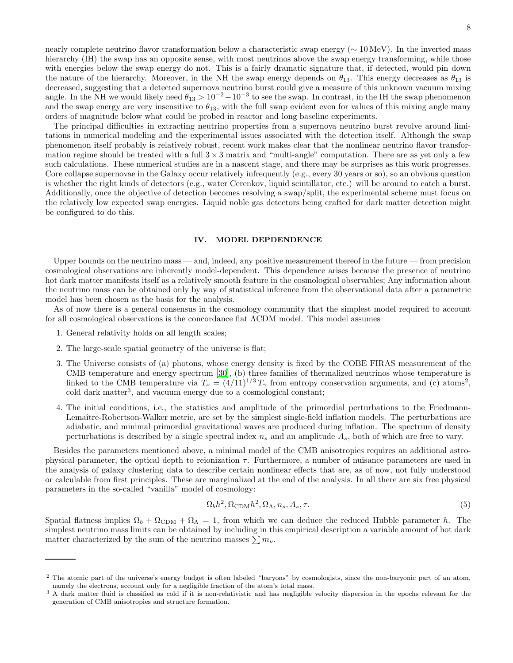nearly complete neutrino flavor transformation below a characteristic swap energy (∼ 10 MeV). In the inverted mass hierarchy (IH) the swap has an opposite sense, with most neutrinos above the swap energy transforming, while those with energies below the swap energy do not. This is a fairly dramatic signature that, if detected, would pin down the nature of the hierarchy. Moreover, in the NH the swap energy depends on  $\theta_{13}$ . This energy decreases as  $\theta_{13}$  is decreased, suggesting that a detected supernova neutrino burst could give a measure of this unknown vacuum mixing angle. In the NH we would likely need  $\theta_{13} > 10^{-2} - 10^{-3}$  to see the swap. In contrast, in the IH the swap phenomenon and the swap energy are very insensitive to  $\theta_{13}$ , with the full swap evident even for values of this mixing angle many orders of magnitude below what could be probed in reactor and long baseline experiments.

The principal difficulties in extracting neutrino properties from a supernova neutrino burst revolve around limitations in numerical modeling and the experimental issues associated with the detection itself. Although the swap phenomenon itself probably is relatively robust, recent work makes clear that the nonlinear neutrino flavor transformation regime should be treated with a full  $3 \times 3$  matrix and "multi-angle" computation. There are as yet only a few such calculations. These numerical studies are in a nascent stage, and there may be surprises as this work progresses. Core collapse supernovae in the Galaxy occur relatively infrequently (e.g., every 30 years or so), so an obvious question is whether the right kinds of detectors (e.g., water Cerenkov, liquid scintillator, etc.) will be around to catch a burst. Additionally, once the objective of detection becomes resolving a swap/split, the experimental scheme must focus on the relatively low expected swap energies. Liquid noble gas detectors being crafted for dark matter detection might be configured to do this.

## IV. MODEL DEPDENDENCE

Upper bounds on the neutrino mass — and, indeed, any positive measurement thereof in the future — from precision cosmological observations are inherently model-dependent. This dependence arises because the presence of neutrino hot dark matter manifests itself as a relatively smooth feature in the cosmological observables; Any information about the neutrino mass can be obtained only by way of statistical inference from the observational data after a parametric model has been chosen as the basis for the analysis.

As of now there is a general consensus in the cosmology community that the simplest model required to account for all cosmological observations is the concordance flat ΛCDM model. This model assumes

- 1. General relativity holds on all length scales;
- 2. The large-scale spatial geometry of the universe is flat;
- 3. The Universe consists of (a) photons, whose energy density is fixed by the COBE FIRAS measurement of the CMB temperature and energy spectrum [\[30\]](#page-10-30), (b) three families of thermalized neutrinos whose temperature is linked to the CMB temperature via  $T_{\nu} = (4/11)^{1/3} T_{\gamma}$  from entropy conservation arguments, and (c) atoms<sup>2</sup>, cold dark matter<sup>3</sup>, and vacuum energy due to a cosmological constant;
- 4. The initial conditions, i.e., the statistics and amplitude of the primordial perturbations to the Friedmann-Lemaître-Robertson-Walker metric, are set by the simplest single-field inflation models. The perturbations are adiabatic, and minimal primordial gravitational waves are produced during inflation. The spectrum of density perturbations is described by a single spectral index  $n_s$  and an amplitude  $A_s$ , both of which are free to vary.

Besides the parameters mentioned above, a minimal model of the CMB anisotropies requires an additional astrophysical parameter, the optical depth to reionization  $\tau$ . Furthermore, a number of nuisance parameters are used in the analysis of galaxy clustering data to describe certain nonlinear effects that are, as of now, not fully understood or calculable from first principles. These are marginalized at the end of the analysis. In all there are six free physical parameters in the so-called "vanilla" model of cosmology:

$$
\Omega_b h^2, \Omega_{\rm CDM} h^2, \Omega_{\Lambda}, n_s, A_s, \tau. \tag{5}
$$

Spatial flatness implies  $\Omega_b + \Omega_{CDM} + \Omega_{\Lambda} = 1$ , from which we can deduce the reduced Hubble parameter h. The simplest neutrino mass limits can be obtained by including in this empirical description a variable amount of hot dark matter characterized by the sum of the neutrino masses  $\sum m_{\nu}$ .

<sup>&</sup>lt;sup>2</sup> The atomic part of the universe's energy budget is often labeled "baryons" by cosmologists, since the non-baryonic part of an atom, namely the electrons, account only for a negligible fraction of the atom's total mass.

<sup>&</sup>lt;sup>3</sup> A dark matter fluid is classified as cold if it is non-relativistic and has negligible velocity dispersion in the epochs relevant for the generation of CMB anisotropies and structure formation.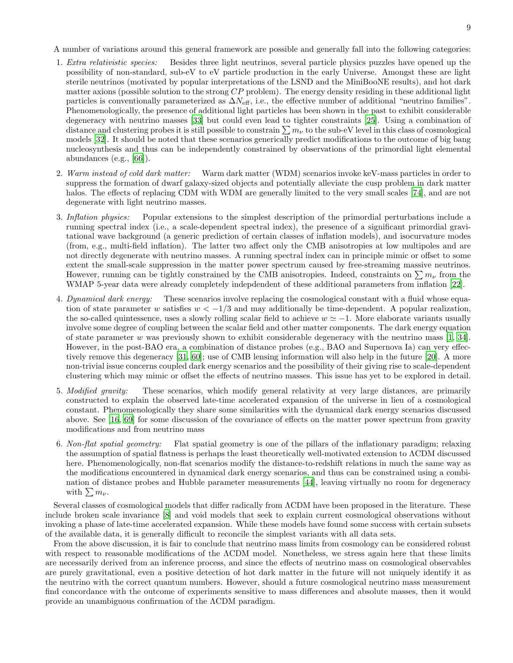A number of variations around this general framework are possible and generally fall into the following categories:

- 1. Extra relativistic species: Besides three light neutrinos, several particle physics puzzles have opened up the possibility of non-standard, sub-eV to eV particle production in the early Universe. Amongst these are light sterile neutrinos (motivated by popular interpretations of the LSND and the MiniBooNE results), and hot dark matter axions (possible solution to the strong  $CP$  problem). The energy density residing in these additional light particles is conventionally parameterized as  $\Delta N_{\text{eff}}$ , i.e., the effective number of additional "neutrino families". Phenomenologically, the presence of additional light particles has been shown in the past to exhibit considerable degeneracy with neutrino masses [\[33\]](#page-10-31) but could even lead to tighter constraints [\[25\]](#page-10-32). Using a combination of distance and clustering probes it is still possible to constrain  $\sum m_{\nu}$  to the sub-eV level in this class of cosmological models [\[32\]](#page-10-33). It should be noted that these scenarios generically predict modifications to the outcome of big bang nucleosynthesis and thus can be independently constrained by observations of the primordial light elemental abundances (e.g., [\[66](#page-11-55)]).
- 2. Warm instead of cold dark matter: Warm dark matter (WDM) scenarios invoke keV-mass particles in order to suppress the formation of dwarf galaxy-sized objects and potentially alleviate the cusp problem in dark matter halos. The effects of replacing CDM with WDM are generally limited to the very small scales [\[74](#page-11-56)], and are not degenerate with light neutrino masses.
- 3. Inflation physics: Popular extensions to the simplest description of the primordial perturbations include a running spectral index (i.e., a scale-dependent spectral index), the presence of a significant primordial gravitational wave background (a generic prediction of certain classes of inflation models), and isocurvature modes (from, e.g., multi-field inflation). The latter two affect only the CMB anisotropies at low multipoles and are not directly degenerate with neutrino masses. A running spectral index can in principle mimic or offset to some extent the small-scale suppression in the matter power spectrum caused by free-streaming massive neutrinos. However, running can be tightly constrained by the CMB anisotropies. Indeed, constraints on  $\sum m_{\nu}$  from the WMAP 5-year data were already completely indepdendent of these additional parameters from inflation [\[22\]](#page-10-34).
- 4. Dynamical dark energy: These scenarios involve replacing the cosmological constant with a fluid whose equation of state parameter w satisfies  $w < -1/3$  and may additionally be time-dependent. A popular realization, the so-called quintessence, uses a slowly rolling scalar field to achieve  $w \simeq -1$ . More elaborate variants usually involve some degree of coupling between the scalar field and other matter components. The dark energy equation of state parameter w was previously shown to exhibit considerable degeneracy with the neutrino mass  $[1, 34]$  $[1, 34]$ . However, in the post-BAO era, a combination of distance probes (e.g., BAO and Supernova Ia) can very effectively remove this degeneracy [\[31](#page-10-37), [60\]](#page-11-57); use of CMB lensing information will also help in the future [\[20\]](#page-10-38). A more non-trivial issue concerns coupled dark energy scenarios and the possibility of their giving rise to scale-dependent clustering which may mimic or offset the effects of neutrino masses. This issue has yet to be explored in detail.
- 5. Modified gravity: These scenarios, which modify general relativity at very large distances, are primarily constructed to explain the observed late-time accelerated expansion of the universe in lieu of a cosmological constant. Phenomenologically they share some similarities with the dynamical dark energy scenarios discussed above. See [\[16](#page-10-39), [69](#page-11-58)] for some discussion of the covariance of effects on the matter power spectrum from gravity modifications and from neutrino mass
- 6. Non-flat spatial geometry: Flat spatial geometry is one of the pillars of the inflationary paradigm; relaxing the assumption of spatial flatness is perhaps the least theoretically well-motivated extension to ΛCDM discussed here. Phenomenologically, non-flat scenarios modify the distance-to-redshift relations in much the same way as the modifications encountered in dynamical dark energy scenarios, and thus can be constrained using a combination of distance probes and Hubble parameter measurements [\[44\]](#page-11-0), leaving virtually no room for degeneracy with  $\sum m_{\nu}$ .

Several classes of cosmological models that differ radically from  $\Lambda$ CDM have been proposed in the literature. These include broken scale invariance [\[8](#page-10-40)] and void models that seek to explain current cosmological observations without invoking a phase of late-time accelerated expansion. While these models have found some success with certain subsets of the available data, it is generally difficult to reconcile the simplest variants with all data sets.

From the above discussion, it is fair to conclude that neutrino mass limits from cosmology can be considered robust with respect to reasonable modifications of the ΛCDM model. Nonetheless, we stress again here that these limits are necessarily derived from an inference process, and since the effects of neutrino mass on cosmological observables are purely gravitational, even a positive detection of hot dark matter in the future will not uniquely identify it as the neutrino with the correct quantum numbers. However, should a future cosmological neutrino mass measurement find concordance with the outcome of experiments sensitive to mass differences and absolute masses, then it would provide an unambiguous confirmation of the ΛCDM paradigm.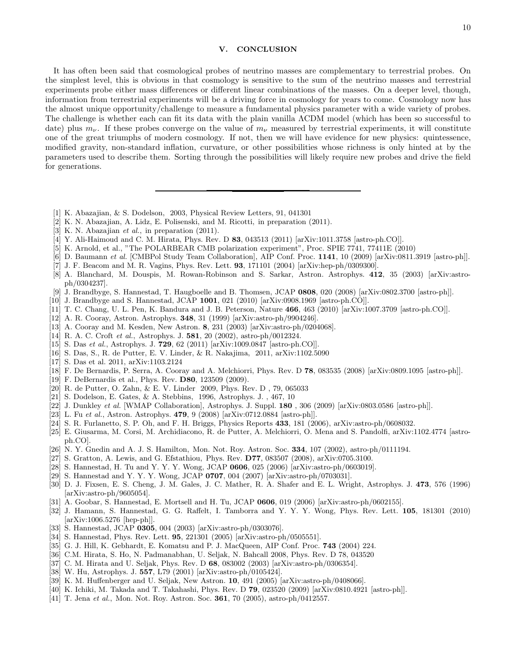# V. CONCLUSION

It has often been said that cosmological probes of neutrino masses are complementary to terrestrial probes. On the simplest level, this is obvious in that cosmology is sensitive to the sum of the neutrino masses and terrestrial experiments probe either mass differences or different linear combinations of the masses. On a deeper level, though, information from terrestrial experiments will be a driving force in cosmology for years to come. Cosmology now has the almost unique opportunity/challenge to measure a fundamental physics parameter with a wide variety of probes. The challenge is whether each can fit its data with the plain vanilla ΛCDM model (which has been so successful to date) plus  $m_{\nu}$ . If these probes converge on the value of  $m_{\nu}$  measured by terrestrial experiments, it will constitute one of the great triumphs of modern cosmology. If not, then we will have evidence for new physics: quintessence, modified gravity, non-standard inflation, curvature, or other possibilities whose richness is only hinted at by the parameters used to describe them. Sorting through the possibilities will likely require new probes and drive the field for generations.

- <span id="page-10-35"></span>[1] K. Abazajian, & S. Dodelson, 2003, Physical Review Letters, 91, 041301
- <span id="page-10-26"></span>[2] K. N. Abazajian, A. Lidz, E. Polisenski, and M. Ricotti, in preparation (2011).
- <span id="page-10-27"></span>[3] K. N. Abazajian et al., in preparation (2011).
- <span id="page-10-12"></span>[4] Y. Ali-Haimoud and C. M. Hirata, Phys. Rev. D 83, 043513 (2011) [arXiv:1011.3758 [astro-ph.CO]].
- <span id="page-10-4"></span>[5] K. Arnold, et al., "The POLARBEAR CMB polarization experiment", Proc. SPIE 7741, 77411E (2010)
- <span id="page-10-5"></span>[6] D. Baumann et al. [CMBPol Study Team Collaboration], AIP Conf. Proc. 1141, 10 (2009) [arXiv:0811.3919 [astro-ph]].
- <span id="page-10-9"></span>[7] J. F. Beacom and M. R. Vagins, Phys. Rev. Lett. 93, 171101 (2004) [arXiv:hep-ph/0309300].
- <span id="page-10-40"></span>[8] A. Blanchard, M. Douspis, M. Rowan-Robinson and S. Sarkar, Astron. Astrophys. 412, 35 (2003) [arXiv:astroph/0304237].
- <span id="page-10-0"></span>[9] J. Brandbyge, S. Hannestad, T. Haugboelle and B. Thomsen, JCAP 0808, 020 (2008) [arXiv:0802.3700 [astro-ph]].
- <span id="page-10-1"></span>[10] J. Brandbyge and S. Hannestad, JCAP 1001, 021 (2010) [arXiv:0908.1969 [astro-ph.CO]].
- <span id="page-10-8"></span>[11] T. C. Chang, U. L. Pen, K. Bandura and J. B. Peterson, Nature 466, 463 (2010) [arXiv:1007.3709 [astro-ph.CO]].
- <span id="page-10-20"></span>[12] A. R. Cooray, Astron. Astrophys. 348, 31 (1999) [arXiv:astro-ph/9904246].
- <span id="page-10-18"></span>[13] A. Cooray and M. Kesden, New Astron. 8, 231 (2003) [arXiv:astro-ph/0204068].
- <span id="page-10-23"></span>[14] R. A. C. Croft et al., Astrophys. J. 581, 20 (2002), astro-ph/0012324.
- <span id="page-10-13"></span>[15] S. Das et al., Astrophys. J. 729, 62 (2011) [arXiv:1009.0847 [astro-ph.CO]].
- <span id="page-10-39"></span>[16] S. Das, S., R. de Putter, E. V. Linder, & R. Nakajima, 2011, arXiv:1102.5090
- <span id="page-10-17"></span>[17] S. Das et al. 2011, arXiv:1103.2124
- <span id="page-10-19"></span>[18] F. De Bernardis, P. Serra, A. Cooray and A. Melchiorri, Phys. Rev. D 78, 083535 (2008) [arXiv:0809.1095 [astro-ph]].
- <span id="page-10-11"></span>[19] F. DeBernardis et al., Phys. Rev. D80, 123509 (2009).
- <span id="page-10-38"></span>[20] R. de Putter, O. Zahn, & E. V. Linder 2009, Phys. Rev. D , 79, 065033
- <span id="page-10-10"></span>[21] S. Dodelson, E. Gates, & A. Stebbins, 1996, Astrophys. J. , 467, 10
- <span id="page-10-34"></span>[22] J. Dunkley et al. [WMAP Collaboration], Astrophys. J. Suppl.  $180$ ,  $306$  (2009) [arXiv:0803.0586 [astro-ph]].
- <span id="page-10-7"></span>[23] L. Fu et al., Astron. Astrophys. **479**, 9 (2008) [arXiv:0712.0884 [astro-ph]].
- <span id="page-10-29"></span>[24] S. R. Furlanetto, S. P. Oh, and F. H. Briggs, Physics Reports 433, 181 (2006), arXiv:astro-ph/0608032.
- <span id="page-10-32"></span>[25] E. Giusarma, M. Corsi, M. Archidiacono, R. de Putter, A. Melchiorri, O. Mena and S. Pandolfi, arXiv:1102.4774 [astroph.CO].
- <span id="page-10-24"></span>[26] N. Y. Gnedin and A. J. S. Hamilton, Mon. Not. Roy. Astron. Soc. 334, 107 (2002), astro-ph/0111194.
- <span id="page-10-28"></span>[27] S. Gratton, A. Lewis, and G. Efstathiou, Phys. Rev. D77, 083507 (2008), arXiv:0705.3100.
- <span id="page-10-22"></span>[28] S. Hannestad, H. Tu and Y. Y. Y. Wong, JCAP 0606, 025 (2006) [arXiv:astro-ph/0603019].
- <span id="page-10-2"></span>[29] S. Hannestad and Y. Y. Y. Wong, JCAP 0707, 004 (2007) [arXiv:astro-ph/0703031].
- <span id="page-10-30"></span>[30] D. J. Fixsen, E. S. Cheng, J. M. Gales, J. C. Mather, R. A. Shafer and E. L. Wright, Astrophys. J. 473, 576 (1996) [arXiv:astro-ph/9605054].
- <span id="page-10-37"></span>[31] A. Goobar, S. Hannestad, E. Mortsell and H. Tu, JCAP 0606, 019 (2006) [arXiv:astro-ph/0602155].
- <span id="page-10-33"></span>[32] J. Hamann, S. Hannestad, G. G. Raffelt, I. Tamborra and Y. Y. Y. Wong, Phys. Rev. Lett. 105, 181301 (2010) [arXiv:1006.5276 [hep-ph]].
- <span id="page-10-31"></span>[33] S. Hannestad, JCAP 0305, 004 (2003) [arXiv:astro-ph/0303076].
- <span id="page-10-36"></span>[34] S. Hannestad, Phys. Rev. Lett. 95, 221301 (2005) [arXiv:astro-ph/0505551].
- <span id="page-10-6"></span>[35] G. J. Hill, K. Gebhardt, E. Komatsu and P. J. MacQueen, AIP Conf. Proc. **743** (2004) 224.
- <span id="page-10-16"></span>[36] C.M. Hirata, S. Ho, N. Padmanabhan, U. Seljak, N. Bahcall 2008, Phys. Rev. D 78, 043520
- <span id="page-10-14"></span>[37] C. M. Hirata and U. Seljak, Phys. Rev. D 68, 083002 (2003) [arXiv:astro-ph/0306354].
- <span id="page-10-15"></span>[38] W. Hu, Astrophys. J. 557, L79 (2001) [arXiv:astro-ph/0105424].
- <span id="page-10-3"></span>[39] K. M. Huffenberger and U. Seljak, New Astron. 10, 491 (2005) [arXiv:astro-ph/0408066].
- <span id="page-10-21"></span>[40] K. Ichiki, M. Takada and T. Takahashi, Phys. Rev. D 79, 023520 (2009) [arXiv:0810.4921 [astro-ph]].
- <span id="page-10-25"></span>[41] T. Jena et al., Mon. Not. Roy. Astron. Soc. **361**, 70 (2005), astro-ph/0412557.